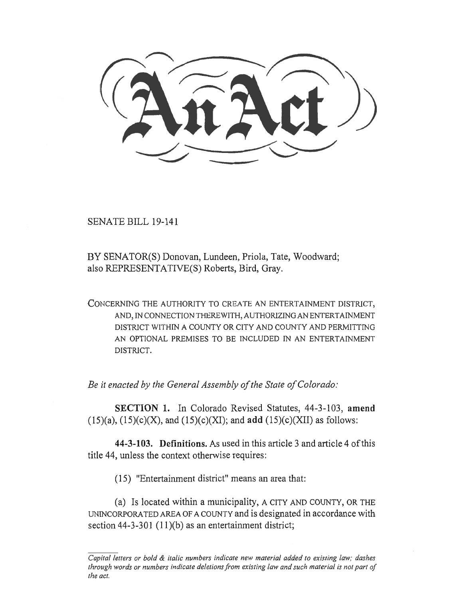SENATE BILL 19-141

BY SENATOR(S) Donovan, Lundeen, Priola, Tate, Woodward; also REPRESENTATIVE(S) Roberts, Bird, Gray.

CONCERNING THE AUTHORITY TO CREATE AN ENTERTAINMENT DISTRICT, AND, IN CONNECTION THEREWITH, AUTHORIZING AN ENTERTAINMENT DISTRICT WITHIN A COUNTY OR CITY AND COUNTY AND PERMITTING AN OPTIONAL PREMISES TO BE INCLUDED IN AN ENTERTAINMENT DISTRICT.

*Be it enacted by the General Assembly of the State of Colorado:* 

**SECTION 1.** In Colorado Revised Statutes, 44-3-103, **amend**  (15)(a), (15)(c)(X), and (15)(c)(XI); and **add** (15)(c)(XII) as follows:

**44-3-103. Definitions.** As used in this article 3 and article 4 of this title 44, unless the context otherwise requires:

(15) "Entertainment district" means an area that:

(a) Is located within a municipality, A CITY AND COUNTY, OR THE UNINCORPORATED AREA OF A COUNTY and is designated in accordance with section 44-3-301 (11)(b) as an entertainment district;

*Capital letters or bold & italic numbers indicate new material added to existing law; dashes through words or numbers indicate deletions from existing law and such material is not part of the act.*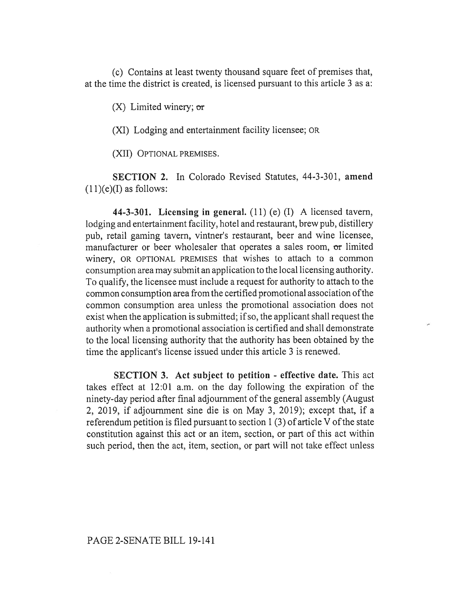(c) Contains at least twenty thousand square feet of premises that, at the time the district is created, is licensed pursuant to this article 3 as a:

 $(X)$  Limited winery; or

(XI) Lodging and entertainment facility licensee; OR

(XII) OPTIONAL PREMISES.

**SECTION 2.** In Colorado Revised Statutes, 44-3-301, **amend**   $(11)(e)$ (I) as follows:

**44-3-301. Licensing in general.** (11) (e) (I) A licensed tavern, lodging and entertainment facility, hotel and restaurant, brew pub, distillery pub, retail gaming tavern, vintner's restaurant, beer and wine licensee, manufacturer or beer wholesaler that operates a sales room, or limited winery, OR OPTIONAL PREMISES that wishes to attach to a common consumption area may submit an application to the local licensing authority. To qualify, the licensee must include a request for authority to attach to the common consumption area from the certified promotional association ofthe common consumption area unless the promotional association does not exist when the application is submitted; if so, the applicant shall request the authority when a promotional association is certified and shall demonstrate to the local licensing authority that the authority has been obtained by the time the applicant's license issued under this article 3 is renewed.

**SECTION 3. Act subject to petition - effective date.** This act takes effect at 12:01 a.m. on the day following the expiration of the ninety-day period after final adjournment of the general assembly (August 2, 2019, if adjournment sine die is on May 3, 2019); except that, if a referendum petition is filed pursuant to section 1 (3) of article V of the state constitution against this act or an item, section, or part of this act within such period, then the act, item, section, or part will not take effect unless